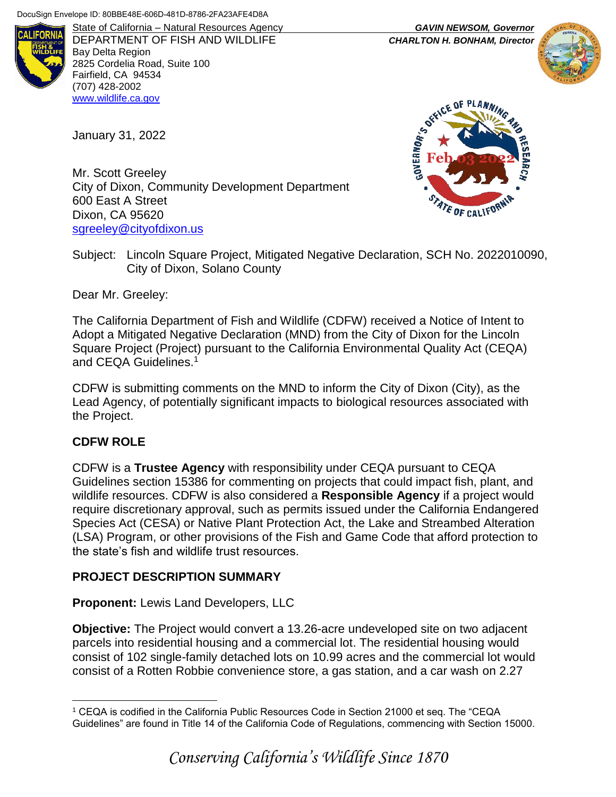

DEPARTMENT OF FISH AND WILDLIFE *CHARLTON H. BONHAM, Director* Bay Delta Region 2825 Cordelia Road, Suite 100 Fairfield, CA 94534 (707) 428-2002 [www.wildlife.ca.gov](http://www.wildlife.ca.gov/)

January 31, 2022

Mr. Scott Greeley City of Dixon, Community Development Department 600 East A Street Dixon, CA 95620 [sgreeley@cityofdixon.us](mailto:sgreeley@cityofdixon.us)



Subject: Lincoln Square Project, Mitigated Negative Declaration, SCH No. 2022010090, City of Dixon, Solano County

Dear Mr. Greeley:

The California Department of Fish and Wildlife (CDFW) received a Notice of Intent to Adopt a Mitigated Negative Declaration (MND) from the City of Dixon for the Lincoln Square Project (Project) pursuant to the California Environmental Quality Act (CEQA) and CEQA Guidelines.<sup>1</sup>

CDFW is submitting comments on the MND to inform the City of Dixon (City), as the Lead Agency, of potentially significant impacts to biological resources associated with the Project.

### **CDFW ROLE**

CDFW is a **Trustee Agency** with responsibility under CEQA pursuant to CEQA Guidelines section 15386 for commenting on projects that could impact fish, plant, and wildlife resources. CDFW is also considered a **Responsible Agency** if a project would require discretionary approval, such as permits issued under the California Endangered Species Act (CESA) or Native Plant Protection Act, the Lake and Streambed Alteration (LSA) Program, or other provisions of the Fish and Game Code that afford protection to the state's fish and wildlife trust resources.

## **PROJECT DESCRIPTION SUMMARY**

**Proponent:** Lewis Land Developers, LLC

**Objective:** The Project would convert a 13.26-acre undeveloped site on two adjacent parcels into residential housing and a commercial lot. The residential housing would consist of 102 single-family detached lots on 10.99 acres and the commercial lot would consist of a Rotten Robbie convenience store, a gas station, and a car wash on 2.27

State of California – Natural Resources Agency *GAVIN NEWSOM, Governor*



 $\overline{a}$ <sup>1</sup> CEQA is codified in the California Public Resources Code in Section 21000 et seq. The "CEQA Guidelines" are found in Title 14 of the California Code of Regulations, commencing with Section 15000.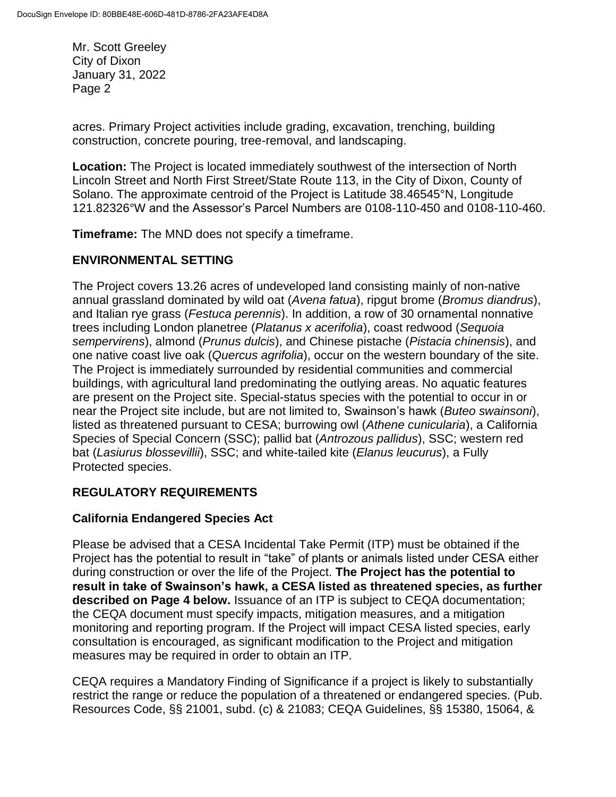acres. Primary Project activities include grading, excavation, trenching, building construction, concrete pouring, tree-removal, and landscaping.

**Location:** The Project is located immediately southwest of the intersection of North Lincoln Street and North First Street/State Route 113, in the City of Dixon, County of Solano. The approximate centroid of the Project is Latitude 38.46545°N, Longitude 121.82326°W and the Assessor's Parcel Numbers are 0108-110-450 and 0108-110-460.

**Timeframe:** The MND does not specify a timeframe.

## **ENVIRONMENTAL SETTING**

The Project covers 13.26 acres of undeveloped land consisting mainly of non-native annual grassland dominated by wild oat (*Avena fatua*), ripgut brome (*Bromus diandrus*), and Italian rye grass (*Festuca perennis*). In addition, a row of 30 ornamental nonnative trees including London planetree (*Platanus x acerifolia*), coast redwood (*Sequoia sempervirens*), almond (*Prunus dulcis*), and Chinese pistache (*Pistacia chinensis*), and one native coast live oak (*Quercus agrifolia*), occur on the western boundary of the site. The Project is immediately surrounded by residential communities and commercial buildings, with agricultural land predominating the outlying areas. No aquatic features are present on the Project site. Special-status species with the potential to occur in or near the Project site include, but are not limited to, Swainson's hawk (*Buteo swainsoni*), listed as threatened pursuant to CESA; burrowing owl (*Athene cunicularia*), a California Species of Special Concern (SSC); pallid bat (*Antrozous pallidus*), SSC; western red bat (*Lasiurus blossevillii*), SSC; and white-tailed kite (*Elanus leucurus*), a Fully Protected species.

## **REGULATORY REQUIREMENTS**

### **California Endangered Species Act**

Please be advised that a CESA Incidental Take Permit (ITP) must be obtained if the Project has the potential to result in "take" of plants or animals listed under CESA either during construction or over the life of the Project. **The Project has the potential to result in take of Swainson's hawk, a CESA listed as threatened species, as further described on Page 4 below.** Issuance of an ITP is subject to CEQA documentation; the CEQA document must specify impacts, mitigation measures, and a mitigation monitoring and reporting program. If the Project will impact CESA listed species, early consultation is encouraged, as significant modification to the Project and mitigation measures may be required in order to obtain an ITP.

CEQA requires a Mandatory Finding of Significance if a project is likely to substantially restrict the range or reduce the population of a threatened or endangered species. (Pub. Resources Code, §§ 21001, subd. (c) & 21083; CEQA Guidelines, §§ 15380, 15064, &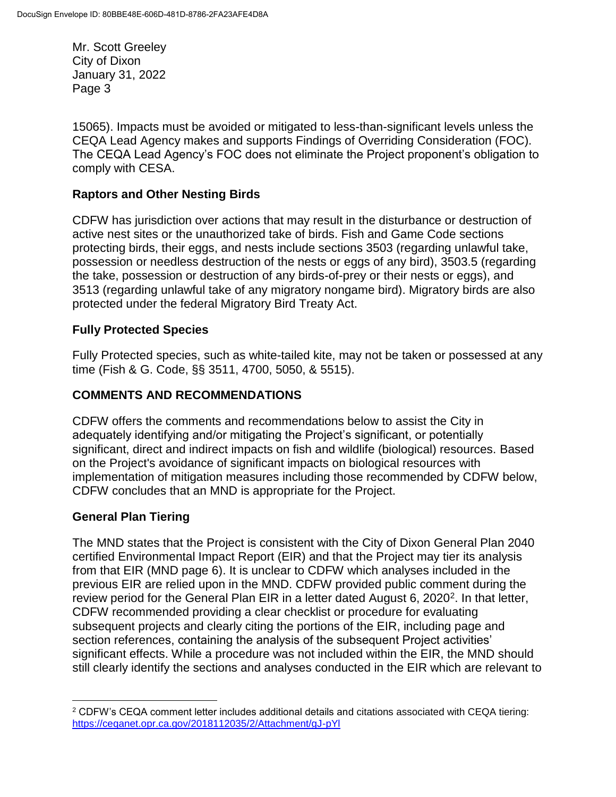15065). Impacts must be avoided or mitigated to less-than-significant levels unless the CEQA Lead Agency makes and supports Findings of Overriding Consideration (FOC). The CEQA Lead Agency's FOC does not eliminate the Project proponent's obligation to comply with CESA.

## **Raptors and Other Nesting Birds**

CDFW has jurisdiction over actions that may result in the disturbance or destruction of active nest sites or the unauthorized take of birds. Fish and Game Code sections protecting birds, their eggs, and nests include sections 3503 (regarding unlawful take, possession or needless destruction of the nests or eggs of any bird), 3503.5 (regarding the take, possession or destruction of any birds-of-prey or their nests or eggs), and 3513 (regarding unlawful take of any migratory nongame bird). Migratory birds are also protected under the federal Migratory Bird Treaty Act.

### **Fully Protected Species**

Fully Protected species, such as white-tailed kite, may not be taken or possessed at any time (Fish & G. Code, §§ 3511, 4700, 5050, & 5515).

### **COMMENTS AND RECOMMENDATIONS**

CDFW offers the comments and recommendations below to assist the City in adequately identifying and/or mitigating the Project's significant, or potentially significant, direct and indirect impacts on fish and wildlife (biological) resources. Based on the Project's avoidance of significant impacts on biological resources with implementation of mitigation measures including those recommended by CDFW below, CDFW concludes that an MND is appropriate for the Project.

### **General Plan Tiering**

 $\overline{a}$ 

The MND states that the Project is consistent with the City of Dixon General Plan 2040 certified Environmental Impact Report (EIR) and that the Project may tier its analysis from that EIR (MND page 6). It is unclear to CDFW which analyses included in the previous EIR are relied upon in the MND. CDFW provided public comment during the review period for the General Plan EIR in a letter dated August 6, 2020<sup>2</sup>. In that letter, CDFW recommended providing a clear checklist or procedure for evaluating subsequent projects and clearly citing the portions of the EIR, including page and section references, containing the analysis of the subsequent Project activities' significant effects. While a procedure was not included within the EIR, the MND should still clearly identify the sections and analyses conducted in the EIR which are relevant to

<sup>2</sup> CDFW's CEQA comment letter includes additional details and citations associated with CEQA tiering: <https://ceqanet.opr.ca.gov/2018112035/2/Attachment/gJ-pYl>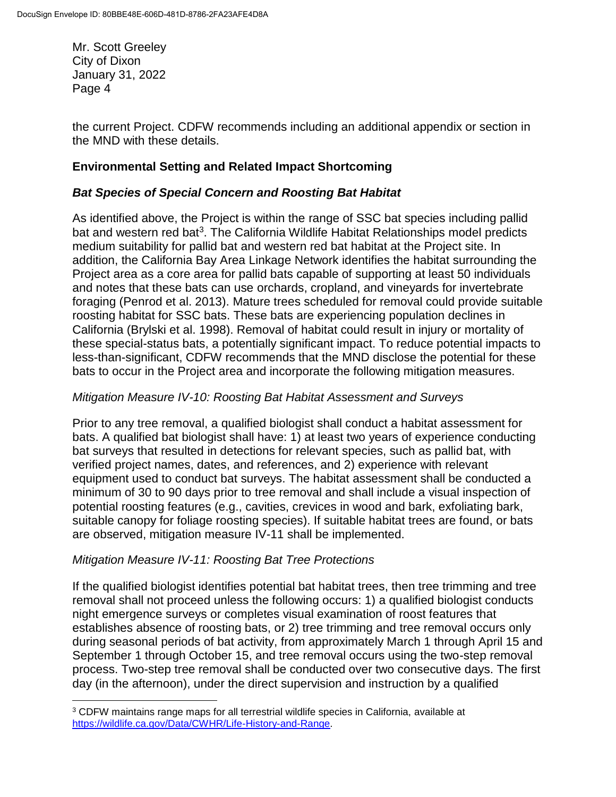the current Project. CDFW recommends including an additional appendix or section in the MND with these details.

## **Environmental Setting and Related Impact Shortcoming**

## *Bat Species of Special Concern and Roosting Bat Habitat*

As identified above, the Project is within the range of SSC bat species including pallid bat and western red bat<sup>3</sup>. The California Wildlife Habitat Relationships model predicts medium suitability for pallid bat and western red bat habitat at the Project site. In addition, the California Bay Area Linkage Network identifies the habitat surrounding the Project area as a core area for pallid bats capable of supporting at least 50 individuals and notes that these bats can use orchards, cropland, and vineyards for invertebrate foraging (Penrod et al. 2013). Mature trees scheduled for removal could provide suitable roosting habitat for SSC bats. These bats are experiencing population declines in California (Brylski et al. 1998). Removal of habitat could result in injury or mortality of these special-status bats, a potentially significant impact. To reduce potential impacts to less-than-significant, CDFW recommends that the MND disclose the potential for these bats to occur in the Project area and incorporate the following mitigation measures.

### *Mitigation Measure IV-10: Roosting Bat Habitat Assessment and Surveys*

Prior to any tree removal, a qualified biologist shall conduct a habitat assessment for bats. A qualified bat biologist shall have: 1) at least two years of experience conducting bat surveys that resulted in detections for relevant species, such as pallid bat, with verified project names, dates, and references, and 2) experience with relevant equipment used to conduct bat surveys. The habitat assessment shall be conducted a minimum of 30 to 90 days prior to tree removal and shall include a visual inspection of potential roosting features (e.g., cavities, crevices in wood and bark, exfoliating bark, suitable canopy for foliage roosting species). If suitable habitat trees are found, or bats are observed, mitigation measure IV-11 shall be implemented.

### *Mitigation Measure IV-11: Roosting Bat Tree Protections*

If the qualified biologist identifies potential bat habitat trees, then tree trimming and tree removal shall not proceed unless the following occurs: 1) a qualified biologist conducts night emergence surveys or completes visual examination of roost features that establishes absence of roosting bats, or 2) tree trimming and tree removal occurs only during seasonal periods of bat activity, from approximately March 1 through April 15 and September 1 through October 15, and tree removal occurs using the two-step removal process. Two-step tree removal shall be conducted over two consecutive days. The first day (in the afternoon), under the direct supervision and instruction by a qualified

 $\overline{a}$ <sup>3</sup> CDFW maintains range maps for all terrestrial wildlife species in California, available at [https://wildlife.ca.gov/Data/CWHR/Life-History-and-Range.](https://wildlife.ca.gov/Data/CWHR/Life-History-and-Range)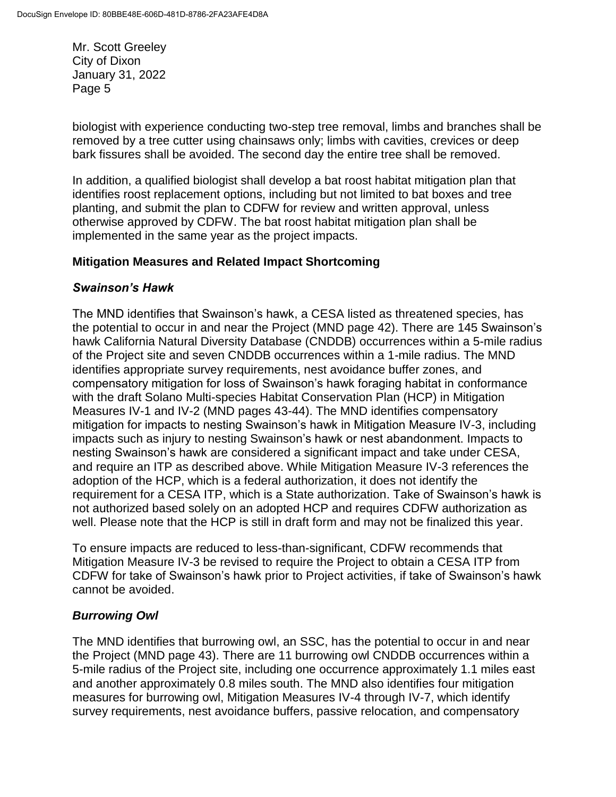biologist with experience conducting two-step tree removal, limbs and branches shall be removed by a tree cutter using chainsaws only; limbs with cavities, crevices or deep bark fissures shall be avoided. The second day the entire tree shall be removed.

In addition, a qualified biologist shall develop a bat roost habitat mitigation plan that identifies roost replacement options, including but not limited to bat boxes and tree planting, and submit the plan to CDFW for review and written approval, unless otherwise approved by CDFW. The bat roost habitat mitigation plan shall be implemented in the same year as the project impacts.

## **Mitigation Measures and Related Impact Shortcoming**

## *Swainson's Hawk*

The MND identifies that Swainson's hawk, a CESA listed as threatened species, has the potential to occur in and near the Project (MND page 42). There are 145 Swainson's hawk California Natural Diversity Database (CNDDB) occurrences within a 5-mile radius of the Project site and seven CNDDB occurrences within a 1-mile radius. The MND identifies appropriate survey requirements, nest avoidance buffer zones, and compensatory mitigation for loss of Swainson's hawk foraging habitat in conformance with the draft Solano Multi-species Habitat Conservation Plan (HCP) in Mitigation Measures IV-1 and IV-2 (MND pages 43-44). The MND identifies compensatory mitigation for impacts to nesting Swainson's hawk in Mitigation Measure IV-3, including impacts such as injury to nesting Swainson's hawk or nest abandonment. Impacts to nesting Swainson's hawk are considered a significant impact and take under CESA, and require an ITP as described above. While Mitigation Measure IV-3 references the adoption of the HCP, which is a federal authorization, it does not identify the requirement for a CESA ITP, which is a State authorization. Take of Swainson's hawk is not authorized based solely on an adopted HCP and requires CDFW authorization as well. Please note that the HCP is still in draft form and may not be finalized this year.

To ensure impacts are reduced to less-than-significant, CDFW recommends that Mitigation Measure IV-3 be revised to require the Project to obtain a CESA ITP from CDFW for take of Swainson's hawk prior to Project activities, if take of Swainson's hawk cannot be avoided.

## *Burrowing Owl*

The MND identifies that burrowing owl, an SSC, has the potential to occur in and near the Project (MND page 43). There are 11 burrowing owl CNDDB occurrences within a 5-mile radius of the Project site, including one occurrence approximately 1.1 miles east and another approximately 0.8 miles south. The MND also identifies four mitigation measures for burrowing owl, Mitigation Measures IV-4 through IV-7, which identify survey requirements, nest avoidance buffers, passive relocation, and compensatory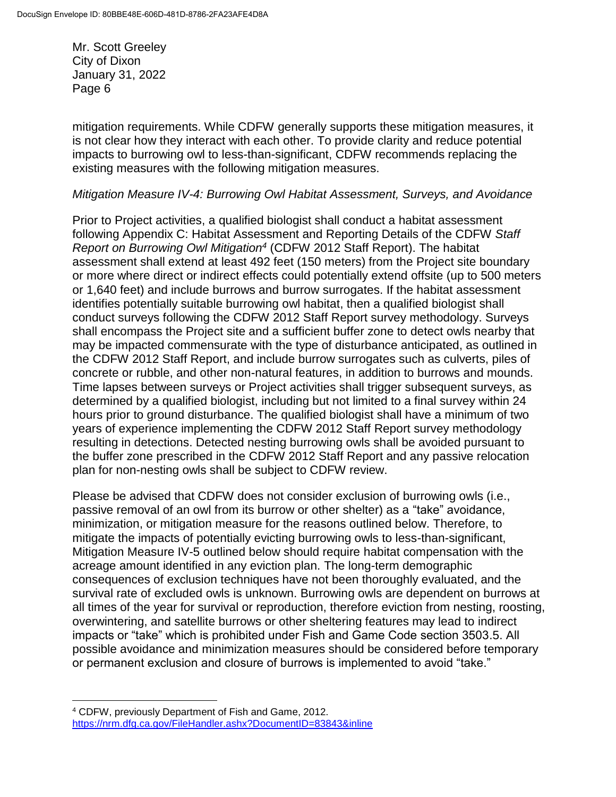mitigation requirements. While CDFW generally supports these mitigation measures, it is not clear how they interact with each other. To provide clarity and reduce potential impacts to burrowing owl to less-than-significant, CDFW recommends replacing the existing measures with the following mitigation measures.

### *Mitigation Measure IV-4: Burrowing Owl Habitat Assessment, Surveys, and Avoidance*

Prior to Project activities, a qualified biologist shall conduct a habitat assessment following Appendix C: Habitat Assessment and Reporting Details of the CDFW *Staff Report on Burrowing Owl Mitigation<sup>4</sup>* (CDFW 2012 Staff Report). The habitat assessment shall extend at least 492 feet (150 meters) from the Project site boundary or more where direct or indirect effects could potentially extend offsite (up to 500 meters or 1,640 feet) and include burrows and burrow surrogates. If the habitat assessment identifies potentially suitable burrowing owl habitat, then a qualified biologist shall conduct surveys following the CDFW 2012 Staff Report survey methodology. Surveys shall encompass the Project site and a sufficient buffer zone to detect owls nearby that may be impacted commensurate with the type of disturbance anticipated, as outlined in the CDFW 2012 Staff Report, and include burrow surrogates such as culverts, piles of concrete or rubble, and other non-natural features, in addition to burrows and mounds. Time lapses between surveys or Project activities shall trigger subsequent surveys, as determined by a qualified biologist, including but not limited to a final survey within 24 hours prior to ground disturbance. The qualified biologist shall have a minimum of two years of experience implementing the CDFW 2012 Staff Report survey methodology resulting in detections. Detected nesting burrowing owls shall be avoided pursuant to the buffer zone prescribed in the CDFW 2012 Staff Report and any passive relocation plan for non-nesting owls shall be subject to CDFW review.

Please be advised that CDFW does not consider exclusion of burrowing owls (i.e., passive removal of an owl from its burrow or other shelter) as a "take" avoidance, minimization, or mitigation measure for the reasons outlined below. Therefore, to mitigate the impacts of potentially evicting burrowing owls to less-than-significant, Mitigation Measure IV-5 outlined below should require habitat compensation with the acreage amount identified in any eviction plan. The long-term demographic consequences of exclusion techniques have not been thoroughly evaluated, and the survival rate of excluded owls is unknown. Burrowing owls are dependent on burrows at all times of the year for survival or reproduction, therefore eviction from nesting, roosting, overwintering, and satellite burrows or other sheltering features may lead to indirect impacts or "take" which is prohibited under Fish and Game Code section 3503.5. All possible avoidance and minimization measures should be considered before temporary or permanent exclusion and closure of burrows is implemented to avoid "take."

 $\overline{a}$ <sup>4</sup> CDFW, previously Department of Fish and Game, 2012. <https://nrm.dfg.ca.gov/FileHandler.ashx?DocumentID=83843&inline>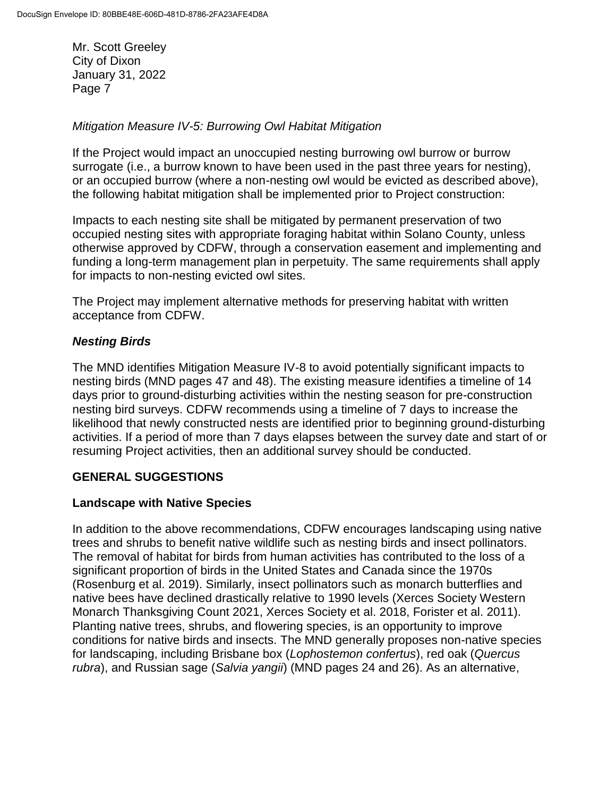### *Mitigation Measure IV-5: Burrowing Owl Habitat Mitigation*

If the Project would impact an unoccupied nesting burrowing owl burrow or burrow surrogate (i.e., a burrow known to have been used in the past three years for nesting), or an occupied burrow (where a non-nesting owl would be evicted as described above), the following habitat mitigation shall be implemented prior to Project construction:

Impacts to each nesting site shall be mitigated by permanent preservation of two occupied nesting sites with appropriate foraging habitat within Solano County, unless otherwise approved by CDFW, through a conservation easement and implementing and funding a long-term management plan in perpetuity. The same requirements shall apply for impacts to non-nesting evicted owl sites.

The Project may implement alternative methods for preserving habitat with written acceptance from CDFW.

### *Nesting Birds*

The MND identifies Mitigation Measure IV-8 to avoid potentially significant impacts to nesting birds (MND pages 47 and 48). The existing measure identifies a timeline of 14 days prior to ground-disturbing activities within the nesting season for pre-construction nesting bird surveys. CDFW recommends using a timeline of 7 days to increase the likelihood that newly constructed nests are identified prior to beginning ground-disturbing activities. If a period of more than 7 days elapses between the survey date and start of or resuming Project activities, then an additional survey should be conducted.

## **GENERAL SUGGESTIONS**

### **Landscape with Native Species**

In addition to the above recommendations, CDFW encourages landscaping using native trees and shrubs to benefit native wildlife such as nesting birds and insect pollinators. The removal of habitat for birds from human activities has contributed to the loss of a significant proportion of birds in the United States and Canada since the 1970s (Rosenburg et al. 2019). Similarly, insect pollinators such as monarch butterflies and native bees have declined drastically relative to 1990 levels (Xerces Society Western Monarch Thanksgiving Count 2021, Xerces Society et al. 2018, Forister et al. 2011). Planting native trees, shrubs, and flowering species, is an opportunity to improve conditions for native birds and insects. The MND generally proposes non-native species for landscaping, including Brisbane box (*Lophostemon confertus*), red oak (*Quercus rubra*), and Russian sage (*Salvia yangii*) (MND pages 24 and 26). As an alternative,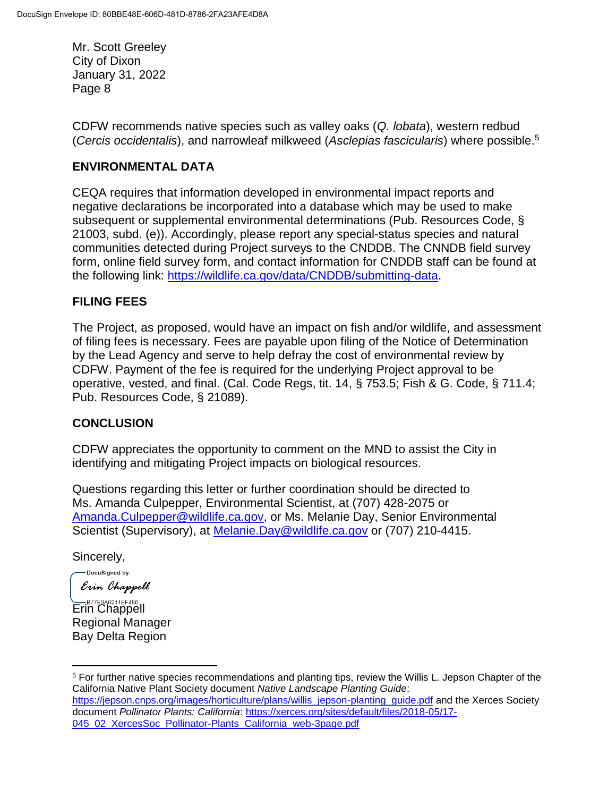CDFW recommends native species such as valley oaks (*Q. lobata*), western redbud (*Cercis occidentalis*), and narrowleaf milkweed (*Asclepias fascicularis*) where possible.<sup>5</sup>

## **ENVIRONMENTAL DATA**

CEQA requires that information developed in environmental impact reports and negative declarations be incorporated into a database which may be used to make subsequent or supplemental environmental determinations (Pub. Resources Code, § 21003, subd. (e)). Accordingly, please report any special-status species and natural communities detected during Project surveys to the CNDDB. The CNNDB field survey form, online field survey form, and contact information for CNDDB staff can be found at the following link: [https://wildlife.ca.gov/data/CNDDB/submitting-data.](https://wildlife.ca.gov/data/CNDDB/submitting-data)

# **FILING FEES**

The Project, as proposed, would have an impact on fish and/or wildlife, and assessment of filing fees is necessary. Fees are payable upon filing of the Notice of Determination by the Lead Agency and serve to help defray the cost of environmental review by CDFW. Payment of the fee is required for the underlying Project approval to be operative, vested, and final. (Cal. Code Regs, tit. 14, § 753.5; Fish & G. Code, § 711.4; Pub. Resources Code, § 21089).

## **CONCLUSION**

CDFW appreciates the opportunity to comment on the MND to assist the City in identifying and mitigating Project impacts on biological resources.

Questions regarding this letter or further coordination should be directed to Ms. Amanda Culpepper, Environmental Scientist, at (707) 428-2075 or [Amanda.Culpepper@wildlife.ca.gov,](mailto:Amanda.Culpepper@wildlife.ca.gov) or Ms. Melanie Day, Senior Environmental Scientist (Supervisory), at [Melanie.Day@wildlife.ca.gov](mailto:Melanie.Day@wildlife.ca.gov) or (707) 210-4415.

Sincerely,

 $\overline{a}$ 

-DocuSigned by: Erin Chappell

B77E9A6211EF486 Regional Manager Bay Delta Region

<sup>5</sup> For further native species recommendations and planting tips, review the Willis L. Jepson Chapter of the California Native Plant Society document *Native Landscape Planting Guide*: [https://jepson.cnps.org/images/horticulture/plans/willis\\_jepson-planting\\_guide.pdf](https://jepson.cnps.org/images/horticulture/plans/willis_jepson-planting_guide.pdf) and the Xerces Society document *Pollinator Plants: California*: [https://xerces.org/sites/default/files/2018-05/17-](https://xerces.org/sites/default/files/2018-05/17-045_02_XercesSoc_Pollinator-Plants_California_web-3page.pdf) [045\\_02\\_XercesSoc\\_Pollinator-Plants\\_California\\_web-3page.pdf](https://xerces.org/sites/default/files/2018-05/17-045_02_XercesSoc_Pollinator-Plants_California_web-3page.pdf)